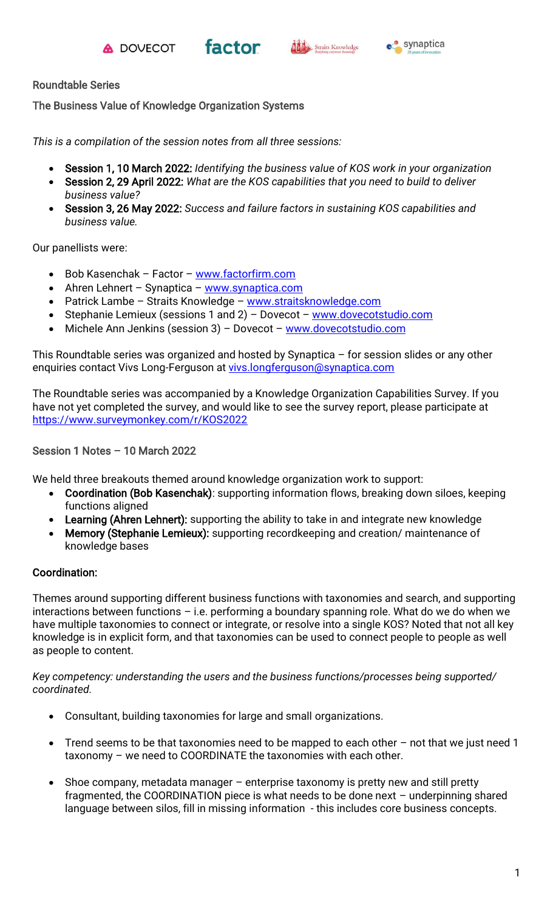





### Roundtable Series

The Business Value of Knowledge Organization Systems

*This is a compilation of the session notes from all three sessions:*

- Session 1, 10 March 2022: *Identifying the business value of KOS work in your organization*
- Session 2, 29 April 2022: *What are the KOS capabilities that you need to build to deliver business value?*
- Session 3, 26 May 2022: *Success and failure factors in sustaining KOS capabilities and business value.*

Our panellists were:

- Bob Kasenchak Factor [www.factorfirm.com](http://www.factorfirm.com/)
- Ahren Lehnert Synaptica [www.synaptica.com](http://www.synaptica.com/)
- Patrick Lambe Straits Knowledge [www.straitsknowledge.com](http://www.straitsknowledge.com/)
- Stephanie Lemieux (sessions 1 and 2) Dovecot [www.dovecotstudio.com](http://www.dovecotstudio.com/)
- Michele Ann Jenkins (session 3) Dovecot [www.dovecotstudio.com](http://www.dovecotstudio.com/)

This Roundtable series was organized and hosted by Synaptica – for session slides or any other enquiries contact Vivs Long-Ferguson at [vivs.longferguson@synaptica.com](mailto:vivs.longferguson@synaptica.com)

The Roundtable series was accompanied by a Knowledge Organization Capabilities Survey. If you have not yet completed the survey, and would like to see the survey report, please participate at <https://www.surveymonkey.com/r/KOS2022>

### Session 1 Notes – 10 March 2022

We held three breakouts themed around knowledge organization work to support:

- Coordination (Bob Kasenchak): supporting information flows, breaking down siloes, keeping functions aligned
- Learning (Ahren Lehnert): supporting the ability to take in and integrate new knowledge
- Memory (Stephanie Lemieux): supporting recordkeeping and creation/ maintenance of knowledge bases

## Coordination:

Themes around supporting different business functions with taxonomies and search, and supporting interactions between functions – i.e. performing a boundary spanning role. What do we do when we have multiple taxonomies to connect or integrate, or resolve into a single KOS? Noted that not all key knowledge is in explicit form, and that taxonomies can be used to connect people to people as well as people to content.

*Key competency: understanding the users and the business functions/processes being supported/ coordinated.*

- Consultant, building taxonomies for large and small organizations.
- Trend seems to be that taxonomies need to be mapped to each other  $-$  not that we just need 1 taxonomy – we need to COORDINATE the taxonomies with each other.
- Shoe company, metadata manager  $-$  enterprise taxonomy is pretty new and still pretty fragmented, the COORDINATION piece is what needs to be done next – underpinning shared language between silos, fill in missing information - this includes core business concepts.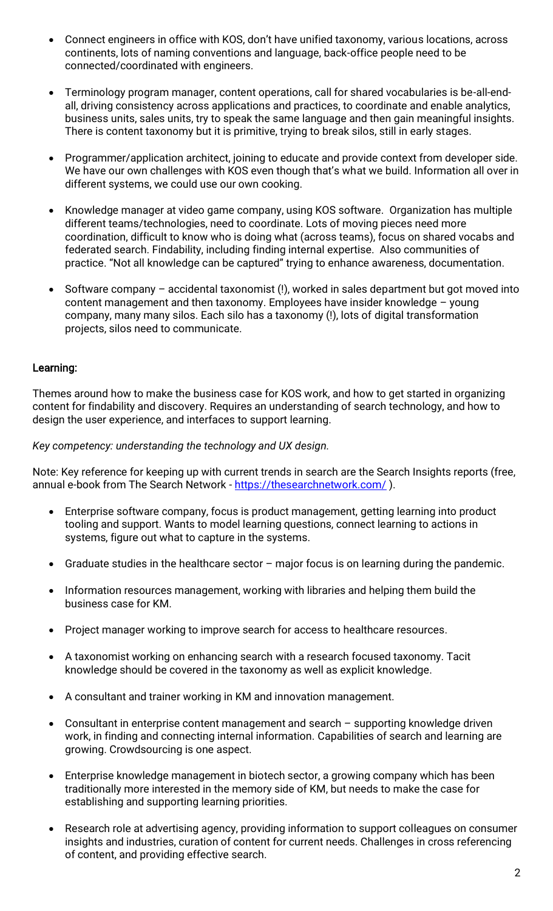- Connect engineers in office with KOS, don't have unified taxonomy, various locations, across continents, lots of naming conventions and language, back-office people need to be connected/coordinated with engineers.
- Terminology program manager, content operations, call for shared vocabularies is be-all-endall, driving consistency across applications and practices, to coordinate and enable analytics, business units, sales units, try to speak the same language and then gain meaningful insights. There is content taxonomy but it is primitive, trying to break silos, still in early stages.
- Programmer/application architect, joining to educate and provide context from developer side. We have our own challenges with KOS even though that's what we build. Information all over in different systems, we could use our own cooking.
- Knowledge manager at video game company, using KOS software. Organization has multiple different teams/technologies, need to coordinate. Lots of moving pieces need more coordination, difficult to know who is doing what (across teams), focus on shared vocabs and federated search. Findability, including finding internal expertise. Also communities of practice. "Not all knowledge can be captured" trying to enhance awareness, documentation.
- Software company accidental taxonomist (!), worked in sales department but got moved into content management and then taxonomy. Employees have insider knowledge – young company, many many silos. Each silo has a taxonomy (!), lots of digital transformation projects, silos need to communicate.

### Learning:

Themes around how to make the business case for KOS work, and how to get started in organizing content for findability and discovery. Requires an understanding of search technology, and how to design the user experience, and interfaces to support learning.

#### *Key competency: understanding the technology and UX design.*

Note: Key reference for keeping up with current trends in search are the Search Insights reports (free, annual e-book from The Search Network - <https://thesearchnetwork.com/>).

- Enterprise software company, focus is product management, getting learning into product tooling and support. Wants to model learning questions, connect learning to actions in systems, figure out what to capture in the systems.
- Graduate studies in the healthcare sector major focus is on learning during the pandemic.
- Information resources management, working with libraries and helping them build the business case for KM.
- Project manager working to improve search for access to healthcare resources.
- A taxonomist working on enhancing search with a research focused taxonomy. Tacit knowledge should be covered in the taxonomy as well as explicit knowledge.
- A consultant and trainer working in KM and innovation management.
- Consultant in enterprise content management and search supporting knowledge driven work, in finding and connecting internal information. Capabilities of search and learning are growing. Crowdsourcing is one aspect.
- Enterprise knowledge management in biotech sector, a growing company which has been traditionally more interested in the memory side of KM, but needs to make the case for establishing and supporting learning priorities.
- Research role at advertising agency, providing information to support colleagues on consumer insights and industries, curation of content for current needs. Challenges in cross referencing of content, and providing effective search.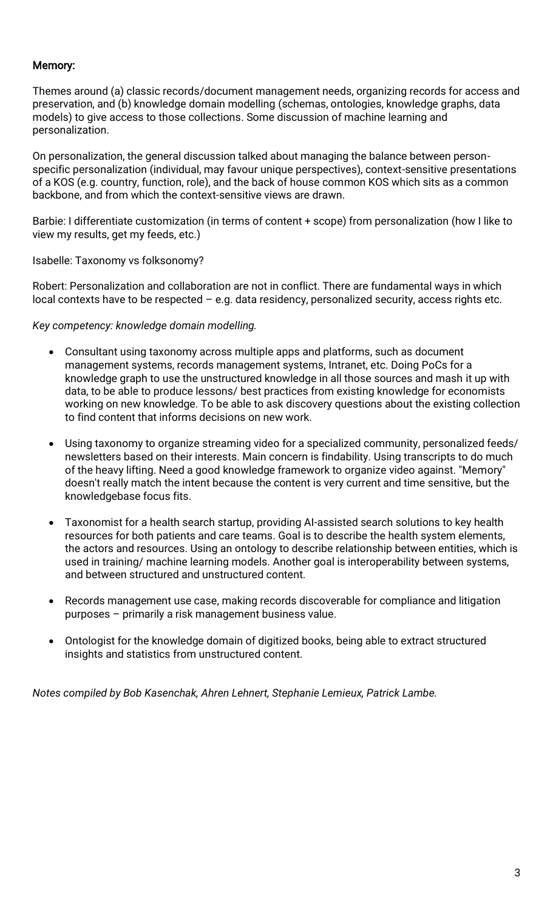# Memory:

Themes around (a) classic records/document management needs, organizing records for access and preservation, and (b) knowledge domain modelling (schemas, ontologies, knowledge graphs, data models) to give access to those collections. Some discussion of machine learning and personalization.

On personalization, the general discussion talked about managing the balance between personspecific personalization (individual, may favour unique perspectives), context-sensitive presentations of a KOS (e.g. country, function, role), and the back of house common KOS which sits as a common backbone, and from which the context-sensitive views are drawn.

Barbie: I differentiate customization (in terms of content + scope) from personalization (how I like to view my results, get my feeds, etc.)

Isabelle: Taxonomy vs folksonomy?

Robert: Personalization and collaboration are not in conflict. There are fundamental ways in which local contexts have to be respected – e.g. data residency, personalized security, access rights etc.

*Key competency: knowledge domain modelling.*

- Consultant using taxonomy across multiple apps and platforms, such as document management systems, records management systems, Intranet, etc. Doing PoCs for a knowledge graph to use the unstructured knowledge in all those sources and mash it up with data, to be able to produce lessons/ best practices from existing knowledge for economists working on new knowledge. To be able to ask discovery questions about the existing collection to find content that informs decisions on new work.
- Using taxonomy to organize streaming video for a specialized community, personalized feeds/ newsletters based on their interests. Main concern is findability. Using transcripts to do much of the heavy lifting. Need a good knowledge framework to organize video against. "Memory" doesn't really match the intent because the content is very current and time sensitive, but the knowledgebase focus fits.
- Taxonomist for a health search startup, providing AI-assisted search solutions to key health resources for both patients and care teams. Goal is to describe the health system elements, the actors and resources. Using an ontology to describe relationship between entities, which is used in training/ machine learning models. Another goal is interoperability between systems, and between structured and unstructured content.
- Records management use case, making records discoverable for compliance and litigation purposes – primarily a risk management business value.
- Ontologist for the knowledge domain of digitized books, being able to extract structured insights and statistics from unstructured content.

*Notes compiled by Bob Kasenchak, Ahren Lehnert, Stephanie Lemieux, Patrick Lambe.*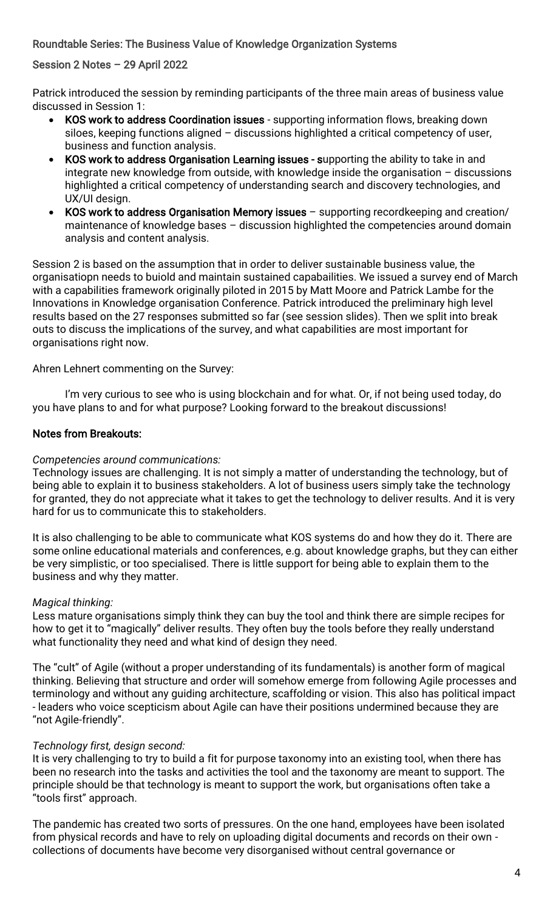### Roundtable Series: The Business Value of Knowledge Organization Systems

#### Session 2 Notes – 29 April 2022

Patrick introduced the session by reminding participants of the three main areas of business value discussed in Session 1:

- KOS work to address Coordination issues supporting information flows, breaking down siloes, keeping functions aligned – discussions highlighted a critical competency of user, business and function analysis.
- KOS work to address Organisation Learning issues supporting the ability to take in and integrate new knowledge from outside, with knowledge inside the organisation – discussions highlighted a critical competency of understanding search and discovery technologies, and UX/UI design.
- KOS work to address Organisation Memory issues supporting recordkeeping and creation/ maintenance of knowledge bases – discussion highlighted the competencies around domain analysis and content analysis.

Session 2 is based on the assumption that in order to deliver sustainable business value, the organisatiopn needs to buiold and maintain sustained capabailities. We issued a survey end of March with a capabilities framework originally piloted in 2015 by Matt Moore and Patrick Lambe for the Innovations in Knowledge organisation Conference. Patrick introduced the preliminary high level results based on the 27 responses submitted so far (see session slides). Then we split into break outs to discuss the implications of the survey, and what capabilities are most important for organisations right now.

Ahren Lehnert commenting on the Survey:

I'm very curious to see who is using blockchain and for what. Or, if not being used today, do you have plans to and for what purpose? Looking forward to the breakout discussions!

#### Notes from Breakouts:

#### *Competencies around communications:*

Technology issues are challenging. It is not simply a matter of understanding the technology, but of being able to explain it to business stakeholders. A lot of business users simply take the technology for granted, they do not appreciate what it takes to get the technology to deliver results. And it is very hard for us to communicate this to stakeholders.

It is also challenging to be able to communicate what KOS systems do and how they do it. There are some online educational materials and conferences, e.g. about knowledge graphs, but they can either be very simplistic, or too specialised. There is little support for being able to explain them to the business and why they matter.

#### *Magical thinking:*

Less mature organisations simply think they can buy the tool and think there are simple recipes for how to get it to "magically" deliver results. They often buy the tools before they really understand what functionality they need and what kind of design they need.

The "cult" of Agile (without a proper understanding of its fundamentals) is another form of magical thinking. Believing that structure and order will somehow emerge from following Agile processes and terminology and without any guiding architecture, scaffolding or vision. This also has political impact - leaders who voice scepticism about Agile can have their positions undermined because they are "not Agile-friendly".

#### *Technology first, design second:*

It is very challenging to try to build a fit for purpose taxonomy into an existing tool, when there has been no research into the tasks and activities the tool and the taxonomy are meant to support. The principle should be that technology is meant to support the work, but organisations often take a "tools first" approach.

The pandemic has created two sorts of pressures. On the one hand, employees have been isolated from physical records and have to rely on uploading digital documents and records on their own collections of documents have become very disorganised without central governance or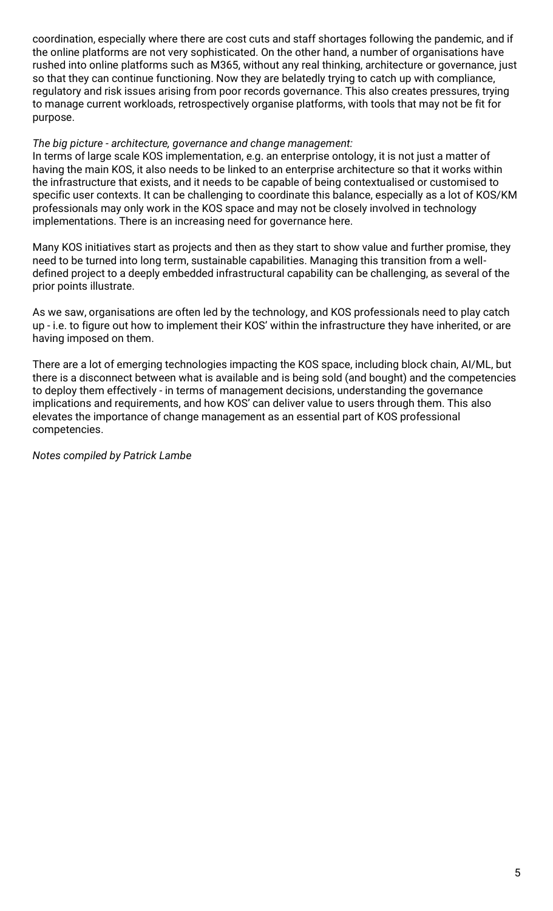coordination, especially where there are cost cuts and staff shortages following the pandemic, and if the online platforms are not very sophisticated. On the other hand, a number of organisations have rushed into online platforms such as M365, without any real thinking, architecture or governance, just so that they can continue functioning. Now they are belatedly trying to catch up with compliance, regulatory and risk issues arising from poor records governance. This also creates pressures, trying to manage current workloads, retrospectively organise platforms, with tools that may not be fit for purpose.

#### *The big picture - architecture, governance and change management:*

In terms of large scale KOS implementation, e.g. an enterprise ontology, it is not just a matter of having the main KOS, it also needs to be linked to an enterprise architecture so that it works within the infrastructure that exists, and it needs to be capable of being contextualised or customised to specific user contexts. It can be challenging to coordinate this balance, especially as a lot of KOS/KM professionals may only work in the KOS space and may not be closely involved in technology implementations. There is an increasing need for governance here.

Many KOS initiatives start as projects and then as they start to show value and further promise, they need to be turned into long term, sustainable capabilities. Managing this transition from a welldefined project to a deeply embedded infrastructural capability can be challenging, as several of the prior points illustrate.

As we saw, organisations are often led by the technology, and KOS professionals need to play catch up - i.e. to figure out how to implement their KOS' within the infrastructure they have inherited, or are having imposed on them.

There are a lot of emerging technologies impacting the KOS space, including block chain, AI/ML, but there is a disconnect between what is available and is being sold (and bought) and the competencies to deploy them effectively - in terms of management decisions, understanding the governance implications and requirements, and how KOS' can deliver value to users through them. This also elevates the importance of change management as an essential part of KOS professional competencies.

*Notes compiled by Patrick Lambe*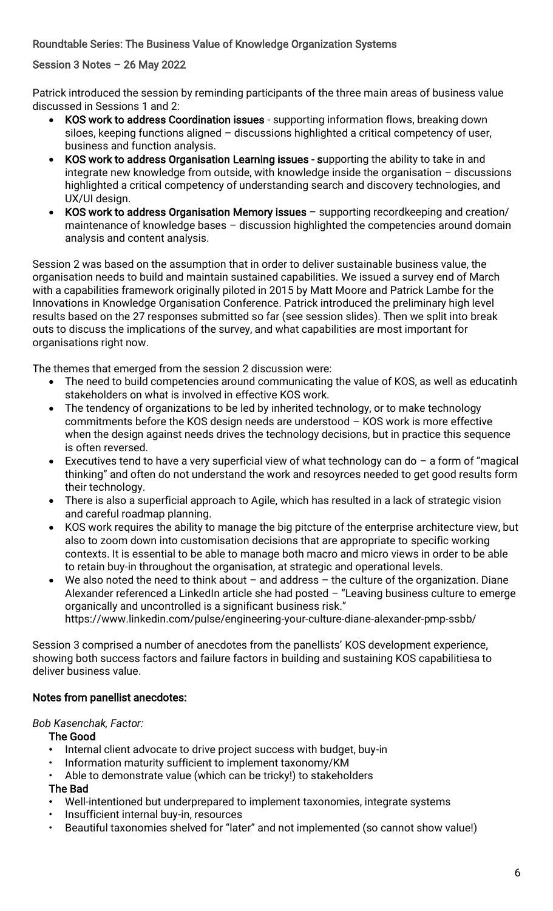Roundtable Series: The Business Value of Knowledge Organization Systems

## Session 3 Notes – 26 May 2022

Patrick introduced the session by reminding participants of the three main areas of business value discussed in Sessions 1 and 2:

- KOS work to address Coordination issues supporting information flows, breaking down siloes, keeping functions aligned – discussions highlighted a critical competency of user, business and function analysis.
- KOS work to address Organisation Learning issues supporting the ability to take in and integrate new knowledge from outside, with knowledge inside the organisation – discussions highlighted a critical competency of understanding search and discovery technologies, and UX/UI design.
- KOS work to address Organisation Memory issues supporting recordkeeping and creation/ maintenance of knowledge bases – discussion highlighted the competencies around domain analysis and content analysis.

Session 2 was based on the assumption that in order to deliver sustainable business value, the organisation needs to build and maintain sustained capabilities. We issued a survey end of March with a capabilities framework originally piloted in 2015 by Matt Moore and Patrick Lambe for the Innovations in Knowledge Organisation Conference. Patrick introduced the preliminary high level results based on the 27 responses submitted so far (see session slides). Then we split into break outs to discuss the implications of the survey, and what capabilities are most important for organisations right now.

The themes that emerged from the session 2 discussion were:

- The need to build competencies around communicating the value of KOS, as well as educatinh stakeholders on what is involved in effective KOS work.
- The tendency of organizations to be led by inherited technology, or to make technology commitments before the KOS design needs are understood – KOS work is more effective when the design against needs drives the technology decisions, but in practice this sequence is often reversed.
- Executives tend to have a very superficial view of what technology can do  $-$  a form of "magical" thinking" and often do not understand the work and resoyrces needed to get good results form their technology.
- There is also a superficial approach to Agile, which has resulted in a lack of strategic vision and careful roadmap planning.
- KOS work requires the ability to manage the big pitcture of the enterprise architecture view, but also to zoom down into customisation decisions that are appropriate to specific working contexts. It is essential to be able to manage both macro and micro views in order to be able to retain buy-in throughout the organisation, at strategic and operational levels.
- We also noted the need to think about and address the culture of the organization. Diane Alexander referenced a LinkedIn article she had posted - "Leaving business culture to emerge organically and uncontrolled is a significant business risk."

https://www.linkedin.com/pulse/engineering-your-culture-diane-alexander-pmp-ssbb/

Session 3 comprised a number of anecdotes from the panellists' KOS development experience, showing both success factors and failure factors in building and sustaining KOS capabilitiesa to deliver business value.

## Notes from panellist anecdotes:

## *Bob Kasenchak, Factor:*

The Good

- Internal client advocate to drive project success with budget, buy-in
- Information maturity sufficient to implement taxonomy/KM
- Able to demonstrate value (which can be tricky!) to stakeholders

## The Bad

- Well-intentioned but underprepared to implement taxonomies, integrate systems
- Insufficient internal buy-in, resources
- Beautiful taxonomies shelved for "later" and not implemented (so cannot show value!)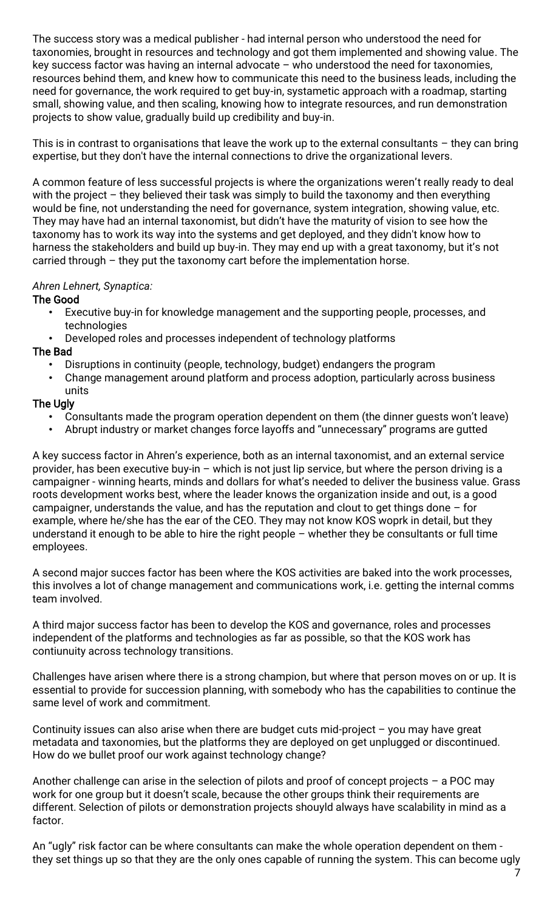The success story was a medical publisher - had internal person who understood the need for taxonomies, brought in resources and technology and got them implemented and showing value. The key success factor was having an internal advocate – who understood the need for taxonomies, resources behind them, and knew how to communicate this need to the business leads, including the need for governance, the work required to get buy-in, systametic approach with a roadmap, starting small, showing value, and then scaling, knowing how to integrate resources, and run demonstration projects to show value, gradually build up credibility and buy-in.

This is in contrast to organisations that leave the work up to the external consultants  $-$  they can bring expertise, but they don't have the internal connections to drive the organizational levers.

A common feature of less successful projects is where the organizations weren't really ready to deal with the project – they believed their task was simply to build the taxonomy and then everything would be fine, not understanding the need for governance, system integration, showing value, etc. They may have had an internal taxonomist, but didn't have the maturity of vision to see how the taxonomy has to work its way into the systems and get deployed, and they didn't know how to harness the stakeholders and build up buy-in. They may end up with a great taxonomy, but it's not carried through – they put the taxonomy cart before the implementation horse.

### *Ahren Lehnert, Synaptica:*

#### The Good

- Executive buy-in for knowledge management and the supporting people, processes, and technologies
- Developed roles and processes independent of technology platforms

#### The Bad

- Disruptions in continuity (people, technology, budget) endangers the program
- Change management around platform and process adoption, particularly across business units

#### The Ugly

- Consultants made the program operation dependent on them (the dinner guests won't leave)
- Abrupt industry or market changes force layoffs and "unnecessary" programs are gutted

A key success factor in Ahren's experience, both as an internal taxonomist, and an external service provider, has been executive buy-in – which is not just lip service, but where the person driving is a campaigner - winning hearts, minds and dollars for what's needed to deliver the business value. Grass roots development works best, where the leader knows the organization inside and out, is a good campaigner, understands the value, and has the reputation and clout to get things done – for example, where he/she has the ear of the CEO. They may not know KOS woprk in detail, but they understand it enough to be able to hire the right people – whether they be consultants or full time employees.

A second major succes factor has been where the KOS activities are baked into the work processes, this involves a lot of change management and communications work, i.e. getting the internal comms team involved.

A third major success factor has been to develop the KOS and governance, roles and processes independent of the platforms and technologies as far as possible, so that the KOS work has contiunuity across technology transitions.

Challenges have arisen where there is a strong champion, but where that person moves on or up. It is essential to provide for succession planning, with somebody who has the capabilities to continue the same level of work and commitment.

Continuity issues can also arise when there are budget cuts mid-project – you may have great metadata and taxonomies, but the platforms they are deployed on get unplugged or discontinued. How do we bullet proof our work against technology change?

Another challenge can arise in the selection of pilots and proof of concept projects – a POC may work for one group but it doesn't scale, because the other groups think their requirements are different. Selection of pilots or demonstration projects shouyld always have scalability in mind as a factor.

An "ugly" risk factor can be where consultants can make the whole operation dependent on them they set things up so that they are the only ones capable of running the system. This can become ugly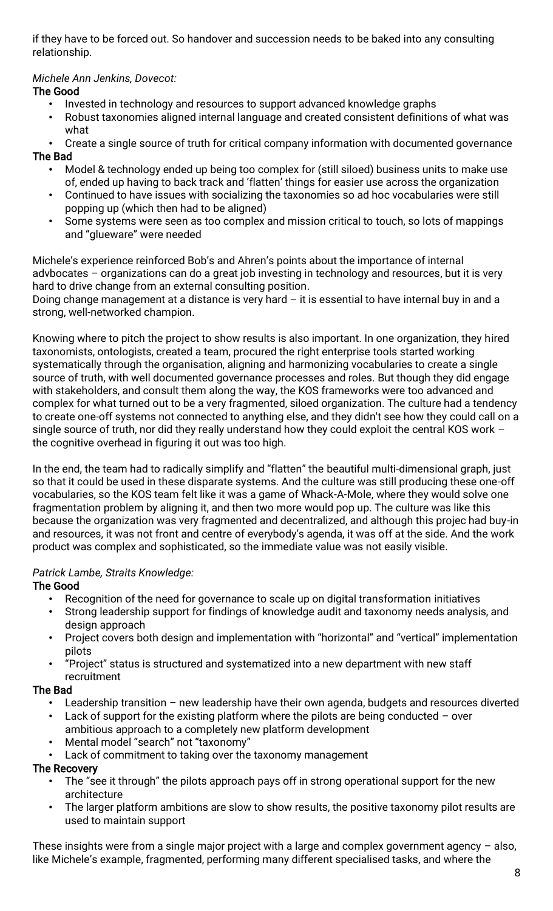if they have to be forced out. So handover and succession needs to be baked into any consulting relationship.

# *Michele Ann Jenkins, Dovecot:*

## The Good

- Invested in technology and resources to support advanced knowledge graphs
- Robust taxonomies aligned internal language and created consistent definitions of what was what
- Create a single source of truth for critical company information with documented governance
- The Bad
	- Model & technology ended up being too complex for (still siloed) business units to make use of, ended up having to back track and 'flatten' things for easier use across the organization
	- Continued to have issues with socializing the taxonomies so ad hoc vocabularies were still popping up (which then had to be aligned)
	- Some systems were seen as too complex and mission critical to touch, so lots of mappings and "glueware" were needed

Michele's experience reinforced Bob's and Ahren's points about the importance of internal advbocates – organizations can do a great job investing in technology and resources, but it is very hard to drive change from an external consulting position.

Doing change management at a distance is very hard  $-$  it is essential to have internal buy in and a strong, well-networked champion.

Knowing where to pitch the project to show results is also important. In one organization, they hired taxonomists, ontologists, created a team, procured the right enterprise tools started working systematically through the organisation, aligning and harmonizing vocabularies to create a single source of truth, with well documented governance processes and roles. But though they did engage with stakeholders, and consult them along the way, the KOS frameworks were too advanced and complex for what turned out to be a very fragmented, siloed organization. The culture had a tendency to create one-off systems not connected to anything else, and they didn't see how they could call on a single source of truth, nor did they really understand how they could exploit the central KOS work – the cognitive overhead in figuring it out was too high.

In the end, the team had to radically simplify and "flatten" the beautiful multi-dimensional graph, just so that it could be used in these disparate systems. And the culture was still producing these one-off vocabularies, so the KOS team felt like it was a game of Whack-A-Mole, where they would solve one fragmentation problem by aligning it, and then two more would pop up. The culture was like this because the organization was very fragmented and decentralized, and although this projec had buy-in and resources, it was not front and centre of everybody's agenda, it was off at the side. And the work product was complex and sophisticated, so the immediate value was not easily visible.

## *Patrick Lambe, Straits Knowledge:*

## The Good

- Recognition of the need for governance to scale up on digital transformation initiatives
- Strong leadership support for findings of knowledge audit and taxonomy needs analysis, and design approach
- Project covers both design and implementation with "horizontal" and "vertical" implementation pilots
- "Project" status is structured and systematized into a new department with new staff recruitment

## The Bad

- Leadership transition new leadership have their own agenda, budgets and resources diverted
- Lack of support for the existing platform where the pilots are being conducted  $-$  over ambitious approach to a completely new platform development
- Mental model "search" not "taxonomy"
- Lack of commitment to taking over the taxonomy management

## The Recovery

- The "see it through" the pilots approach pays off in strong operational support for the new architecture
- The larger platform ambitions are slow to show results, the positive taxonomy pilot results are used to maintain support

These insights were from a single major project with a large and complex government agency  $-$  also, like Michele's example, fragmented, performing many different specialised tasks, and where the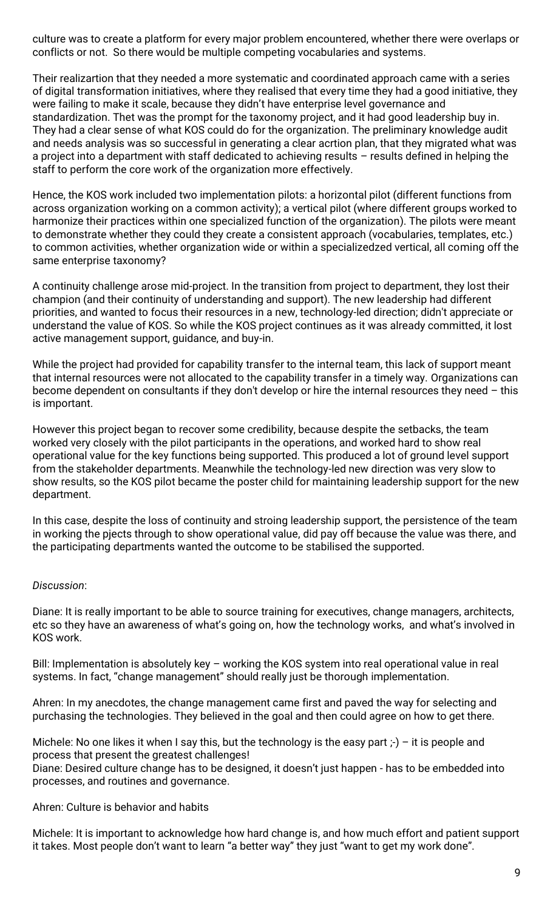culture was to create a platform for every major problem encountered, whether there were overlaps or conflicts or not. So there would be multiple competing vocabularies and systems.

Their realizartion that they needed a more systematic and coordinated approach came with a series of digital transformation initiatives, where they realised that every time they had a good initiative, they were failing to make it scale, because they didn't have enterprise level governance and standardization. Thet was the prompt for the taxonomy project, and it had good leadership buy in. They had a clear sense of what KOS could do for the organization. The preliminary knowledge audit and needs analysis was so successful in generating a clear acrtion plan, that they migrated what was a project into a department with staff dedicated to achieving results – results defined in helping the staff to perform the core work of the organization more effectively.

Hence, the KOS work included two implementation pilots: a horizontal pilot (different functions from across organization working on a common activity); a vertical pilot (where different groups worked to harmonize their practices within one specialized function of the organization). The pilots were meant to demonstrate whether they could they create a consistent approach (vocabularies, templates, etc.) to common activities, whether organization wide or within a specializedzed vertical, all coming off the same enterprise taxonomy?

A continuity challenge arose mid-project. In the transition from project to department, they lost their champion (and their continuity of understanding and support). The new leadership had different priorities, and wanted to focus their resources in a new, technology-led direction; didn't appreciate or understand the value of KOS. So while the KOS project continues as it was already committed, it lost active management support, guidance, and buy-in.

While the project had provided for capability transfer to the internal team, this lack of support meant that internal resources were not allocated to the capability transfer in a timely way. Organizations can become dependent on consultants if they don't develop or hire the internal resources they need – this is important.

However this project began to recover some credibility, because despite the setbacks, the team worked very closely with the pilot participants in the operations, and worked hard to show real operational value for the key functions being supported. This produced a lot of ground level support from the stakeholder departments. Meanwhile the technology-led new direction was very slow to show results, so the KOS pilot became the poster child for maintaining leadership support for the new department.

In this case, despite the loss of continuity and stroing leadership support, the persistence of the team in working the pjects through to show operational value, did pay off because the value was there, and the participating departments wanted the outcome to be stabilised the supported.

#### *Discussion*:

Diane: It is really important to be able to source training for executives, change managers, architects, etc so they have an awareness of what's going on, how the technology works, and what's involved in KOS work.

Bill: Implementation is absolutely key - working the KOS system into real operational value in real systems. In fact, "change management" should really just be thorough implementation.

Ahren: In my anecdotes, the change management came first and paved the way for selecting and purchasing the technologies. They believed in the goal and then could agree on how to get there.

Michele: No one likes it when I say this, but the technology is the easy part  $(-)$  - it is people and process that present the greatest challenges!

Diane: Desired culture change has to be designed, it doesn't just happen - has to be embedded into processes, and routines and governance.

#### Ahren: Culture is behavior and habits

Michele: It is important to acknowledge how hard change is, and how much effort and patient support it takes. Most people don't want to learn "a better way" they just "want to get my work done".